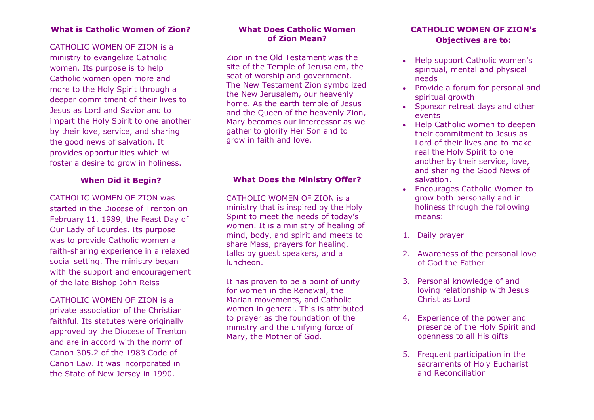#### **What is Catholic Women of Zion?**

#### CATHOLIC WOMEN OF ZION is a

ministry to evangelize Catholic women. Its purpose is to help Catholic women open more and more to the Holy Spirit through a deeper commitment of their lives to Jesus as Lord and Savior and to impart the Holy Spirit to one another by their love, service, and sharing the good news of salvation. It provides opportunities which will foster a desire to grow in holiness.

#### **When Did it Begin?**

CATHOLIC WOMEN OF ZION was started in the Diocese of Trenton on February 11, 1989, the Feast Day of Our Lady of Lourdes. Its purpose was to provide Catholic women a faith-sharing experience in a relaxed social setting. The ministry began with the support and encouragement of the late Bishop John Reiss

CATHOLIC WOMEN OF ZION is a private association of the Christian faithful. Its statutes were originally approved by the Diocese of Trenton and are in accord with the norm of Canon 305.2 of the 1983 Code of Canon Law. It was incorporated in the State of New Jersey in 1990.

#### **What Does Catholic Women of Zion Mean?**

Zion in the Old Testament was the site of the Temple of Jerusalem, the seat of worship and government. The New Testament Zion symbolized the New Jerusalem, our heavenly home. As the earth temple of Jesus and the Queen of the heavenly Zion, Mary becomes our intercessor as we gather to glorify Her Son and to grow in faith and love.

## **What Does the Ministry Offer?**

CATHOLIC WOMEN OF ZION is a ministry that is inspired by the Holy Spirit to meet the needs of today's women. It is a ministry of healing of mind, body, and spirit and meets to share Mass, prayers for healing, talks by guest speakers, and a luncheon.

It has proven to be a point of unity for women in the Renewal, the Marian movements, and Catholic women in general. This is attributed to prayer as the foundation of the ministry and the unifying force of Mary, the Mother of God.

## **CATHOLIC WOMEN OF ZION's Objectives are to:**

- Help support Catholic women's spiritual, mental and physical needs
- Provide a forum for personal and spiritual growth
- Sponsor retreat days and other events
- Help Catholic women to deepen their commitment to Jesus as Lord of their lives and to make real the Holy Spirit to one another by their service, love, and sharing the Good News of salvation.
- Encourages Catholic Women to grow both personally and in holiness through the following means:
- 1. Daily prayer
- 2. Awareness of the personal love of God the Father
- 3. Personal knowledge of and loving relationship with Jesus Christ as Lord
- 4. Experience of the power and presence of the Holy Spirit and openness to all His gifts
- 5. Frequent participation in the sacraments of Holy Eucharist and Reconciliation